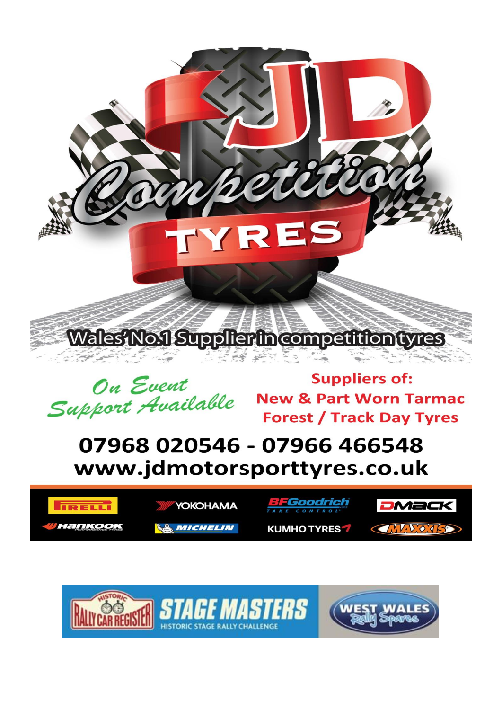



**Suppliers of: New & Part Worn Tarmac Forest / Track Day Tyres** 

## 07968 020546 - 07966 466548 www.jdmotorsporttyres.co.uk

**HISTORIC STAGE RALLY CHALLENGE** 





**DMack** 

**CANDONS**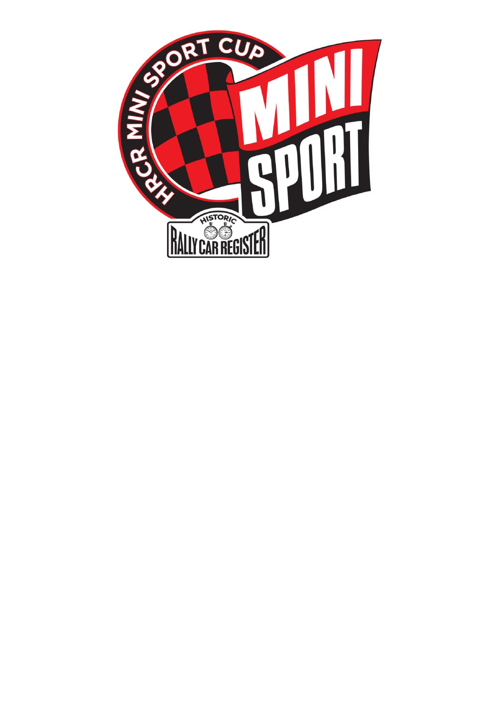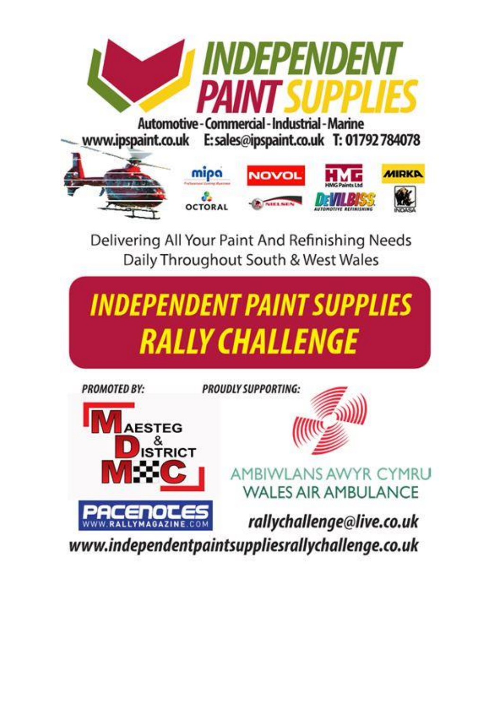

www.ipspaint.co.uk E: sales@ipspaint.co.uk T: 01792 784078



Delivering All Your Paint And Refinishing Needs Daily Throughout South & West Wales

# **INDEPENDENT PAINT SUPPLIES** *RALLY CHALLENGE*



www.independentpaintsuppliesrallychallenge.co.uk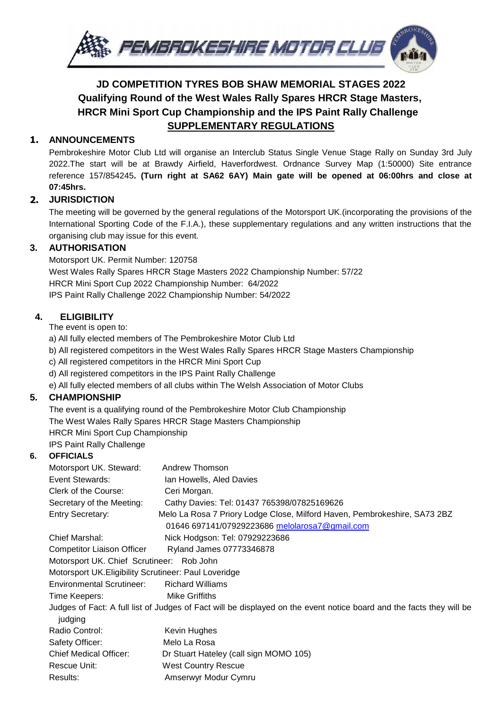

### **JD COMPETITION TYRES BOB SHAW MEMORIAL STAGES 2022 Qualifying Round of the West Wales Rally Spares HRCR Stage Masters, HRCR Mini Sport Cup Championship and the IPS Paint Rally Challenge SUPPLEMENTARY REGULATIONS**

#### **1. ANNOUNCEMENTS**

Pembrokeshire Motor Club Ltd will organise an Interclub Status Single Venue Stage Rally on Sunday 3rd July 2022.The start will be at Brawdy Airfield, Haverfordwest. Ordnance Survey Map (1:50000) Site entrance reference 157/854245**. (Turn right at SA62 6AY) Main gate will be opened at 06:00hrs and close at 07:45hrs.**

#### **2. JURISDICTION**

The meeting will be governed by the general regulations of the Motorsport UK.(incorporating the provisions of the International Sporting Code of the F.I.A.), these supplementary regulations and any written instructions that the organising club may issue for this event.

#### **3. AUTHORISATION**

Motorsport UK. Permit Number: 120758 West Wales Rally Spares HRCR Stage Masters 2022 Championship Number: 57/22 HRCR Mini Sport Cup 2022 Championship Number: 64/2022 IPS Paint Rally Challenge 2022 Championship Number: 54/2022

#### **4. ELIGIBILITY**

The event is open to:

- a) All fully elected members of The Pembrokeshire Motor Club Ltd
- b) All registered competitors in the West Wales Rally Spares HRCR Stage Masters Championship
- c) All registered competitors in the HRCR Mini Sport Cup
- d) All registered competitors in the IPS Paint Rally Challenge
- e) All fully elected members of all clubs within The Welsh Association of Motor Clubs

#### **5. CHAMPIONSHIP**

The event is a qualifying round of the Pembrokeshire Motor Club Championship The West Wales Rally Spares HRCR Stage Masters Championship HRCR Mini Sport Cup Championship IPS Paint Rally Challenge

#### **6. OFFICIALS**

| Motorsport UK. Steward:                                                                                              | Andrew Thomson                                                            |  |  |  |
|----------------------------------------------------------------------------------------------------------------------|---------------------------------------------------------------------------|--|--|--|
| Event Stewards:                                                                                                      | Ian Howells, Aled Davies                                                  |  |  |  |
| Clerk of the Course:                                                                                                 | Ceri Morgan.                                                              |  |  |  |
| Secretary of the Meeting:                                                                                            | Cathy Davies: Tel: 01437 765398/07825169626                               |  |  |  |
| <b>Entry Secretary:</b>                                                                                              | Melo La Rosa 7 Priory Lodge Close, Milford Haven, Pembrokeshire, SA73 2BZ |  |  |  |
|                                                                                                                      | 01646 697141/07929223686 melolarosa7@gmail.com                            |  |  |  |
| <b>Chief Marshal:</b>                                                                                                | Nick Hodgson: Tel: 07929223686                                            |  |  |  |
| <b>Competitor Liaison Officer</b>                                                                                    | Ryland James 07773346878                                                  |  |  |  |
| Motorsport UK. Chief Scrutineer: Rob John                                                                            |                                                                           |  |  |  |
| Motorsport UK. Eligibility Scrutineer: Paul Loveridge                                                                |                                                                           |  |  |  |
| <b>Environmental Scrutineer:</b>                                                                                     | <b>Richard Williams</b>                                                   |  |  |  |
| Time Keepers:                                                                                                        | <b>Mike Griffiths</b>                                                     |  |  |  |
| Judges of Fact: A full list of Judges of Fact will be displayed on the event notice board and the facts they will be |                                                                           |  |  |  |
| judging                                                                                                              |                                                                           |  |  |  |
| Radio Control:                                                                                                       | Kevin Hughes                                                              |  |  |  |
| Safety Officer:                                                                                                      | Melo La Rosa                                                              |  |  |  |
| <b>Chief Medical Officer:</b>                                                                                        | Dr Stuart Hateley (call sign MOMO 105)                                    |  |  |  |
| Rescue Unit:                                                                                                         | <b>West Country Rescue</b>                                                |  |  |  |
| Results:                                                                                                             | Amserwyr Modur Cymru                                                      |  |  |  |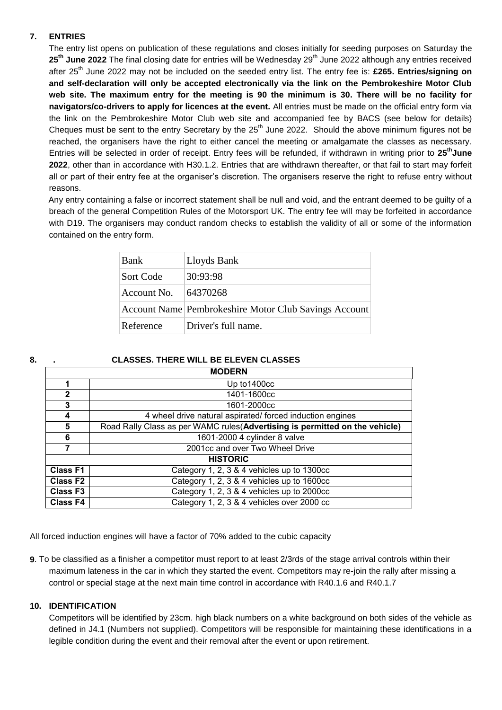#### **7. ENTRIES**

The entry list opens on publication of these regulations and closes initially for seeding purposes on Saturday the 25<sup>th</sup> June 2022 The final closing date for entries will be Wednesday 29<sup>th</sup> June 2022 although any entries received after 25<sup>th</sup> June 2022 may not be included on the seeded entry list. The entry fee is: £265. Entries/signing on **and self-declaration will only be accepted electronically via the link on the Pembrokeshire Motor Club web site. The maximum entry for the meeting is 90 the minimum is 30. There will be no facility for navigators/co-drivers to apply for licences at the event.** All entries must be made on the official entry form via the link on the Pembrokeshire Motor Club web site and accompanied fee by BACS (see below for details) Cheques must be sent to the entry Secretary by the  $25<sup>th</sup>$  June 2022. Should the above minimum figures not be reached, the organisers have the right to either cancel the meeting or amalgamate the classes as necessary. Entries will be selected in order of receipt. Entry fees will be refunded, if withdrawn in writing prior to **25 thJune 2022**, other than in accordance with H30.1.2. Entries that are withdrawn thereafter, or that fail to start may forfeit all or part of their entry fee at the organiser's discretion. The organisers reserve the right to refuse entry without reasons.

 Any entry containing a false or incorrect statement shall be null and void, and the entrant deemed to be guilty of a breach of the general Competition Rules of the Motorsport UK. The entry fee will may be forfeited in accordance with D19. The organisers may conduct random checks to establish the validity of all or some of the information contained on the entry form.

| Bank        | Lloyds Bank                                           |  |
|-------------|-------------------------------------------------------|--|
| Sort Code   | 30:93:98                                              |  |
| Account No. | 64370268                                              |  |
|             | Account Name Pembrokeshire Motor Club Savings Account |  |
| Reference   | Driver's full name.                                   |  |

#### **8. . CLASSES. THERE WILL BE ELEVEN CLASSES**

| <b>MODERN</b>        |                                                                              |  |  |  |
|----------------------|------------------------------------------------------------------------------|--|--|--|
| 1                    | Up to 1400cc                                                                 |  |  |  |
| $\mathbf{2}$         | 1401-1600cc                                                                  |  |  |  |
| 3                    | 1601-2000cc                                                                  |  |  |  |
| 4                    | 4 wheel drive natural aspirated/ forced induction engines                    |  |  |  |
| 5                    | Road Rally Class as per WAMC rules (Advertising is permitted on the vehicle) |  |  |  |
| 6                    | 1601-2000 4 cylinder 8 valve                                                 |  |  |  |
| 7                    | 2001cc and over Two Wheel Drive                                              |  |  |  |
| <b>HISTORIC</b>      |                                                                              |  |  |  |
| <b>Class F1</b>      | Category 1, 2, 3 & 4 vehicles up to 1300cc                                   |  |  |  |
| <b>Class F2</b>      | Category 1, 2, 3 & 4 vehicles up to 1600cc                                   |  |  |  |
| Class F <sub>3</sub> | Category 1, 2, 3 & 4 vehicles up to 2000cc                                   |  |  |  |
| <b>Class F4</b>      | Category 1, 2, 3 & 4 vehicles over 2000 cc                                   |  |  |  |

All forced induction engines will have a factor of 70% added to the cubic capacity

**9**. To be classified as a finisher a competitor must report to at least 2/3rds of the stage arrival controls within their maximum lateness in the car in which they started the event. Competitors may re-join the rally after missing a control or special stage at the next main time control in accordance with R40.1.6 and R40.1.7

#### **10. IDENTIFICATION**

Competitors will be identified by 23cm. high black numbers on a white background on both sides of the vehicle as defined in J4.1 (Numbers not supplied). Competitors will be responsible for maintaining these identifications in a legible condition during the event and their removal after the event or upon retirement.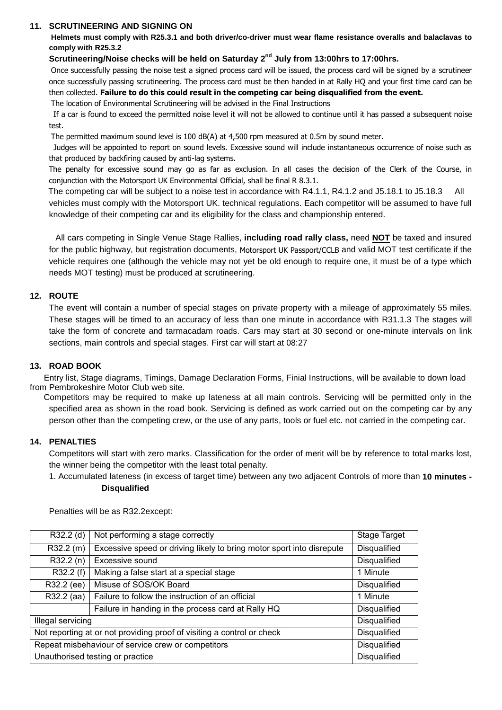#### **11. SCRUTINEERING AND SIGNING ON**

**Helmets must comply with R25.3.1 and both driver/co-driver must wear flame resistance overalls and balaclavas to comply with R25.3.2**

#### Scrutineering/Noise checks will be held on Saturday 2<sup>nd</sup> July from 13:00hrs to 17:00hrs.

 Once successfully passing the noise test a signed process card will be issued, the process card will be signed by a scrutineer once successfully passing scrutineering. The process card must be then handed in at Rally HQ and your first time card can be then collected. **Failure to do this could result in the competing car being disqualified from the event.**

The location of Environmental Scrutineering will be advised in the Final Instructions

 If a car is found to exceed the permitted noise level it will not be allowed to continue until it has passed a subsequent noise test.

The permitted maximum sound level is 100 dB(A) at 4,500 rpm measured at 0.5m by sound meter.

 Judges will be appointed to report on sound levels. Excessive sound will include instantaneous occurrence of noise such as that produced by backfiring caused by anti-lag systems.

 The penalty for excessive sound may go as far as exclusion. In all cases the decision of the Clerk of the Course, in conjunction with the Motorsport UK Environmental Official, shall be final R 8.3.1.

 The competing car will be subject to a noise test in accordance with R4.1.1, R4.1.2 and J5.18.1 to J5.18.3 All vehicles must comply with the Motorsport UK. technical regulations. Each competitor will be assumed to have full knowledge of their competing car and its eligibility for the class and championship entered.

All cars competing in Single Venue Stage Rallies, **including road rally class,** need **NOT** be taxed and insured for the public highway, but registration documents, Motorsport UK Passport/CCLB and valid MOT test certificate if the vehicle requires one (although the vehicle may not yet be old enough to require one, it must be of a type which needs MOT testing) must be produced at scrutineering.

#### **12. ROUTE**

The event will contain a number of special stages on private property with a mileage of approximately 55 miles. These stages will be timed to an accuracy of less than one minute in accordance with R31.1.3 The stages will take the form of concrete and tarmacadam roads. Cars may start at 30 second or one-minute intervals on link sections, main controls and special stages. First car will start at 08:27

#### **13. ROAD BOOK**

 Entry list, Stage diagrams, Timings, Damage Declaration Forms, Finial Instructions, will be available to down load from Pembrokeshire Motor Club web site.

 Competitors may be required to make up lateness at all main controls. Servicing will be permitted only in the specified area as shown in the road book. Servicing is defined as work carried out on the competing car by any person other than the competing crew, or the use of any parts, tools or fuel etc. not carried in the competing car.

#### **14. PENALTIES**

Competitors will start with zero marks. Classification for the order of merit will be by reference to total marks lost, the winner being the competitor with the least total penalty.

1. Accumulated lateness (in excess of target time) between any two adjacent Controls of more than **10 minutes - Disqualified**

| R32.2 (d)                                                              | Not performing a stage correctly                                      | Stage Target        |
|------------------------------------------------------------------------|-----------------------------------------------------------------------|---------------------|
| R32.2 (m)                                                              | Excessive speed or driving likely to bring motor sport into disrepute | Disqualified        |
| R32.2(n)                                                               | Excessive sound                                                       | <b>Disqualified</b> |
| R32.2 (f)                                                              | Making a false start at a special stage                               | 1 Minute            |
| R32.2 (ee)                                                             | Misuse of SOS/OK Board                                                | <b>Disqualified</b> |
| R32.2 (aa)                                                             | Failure to follow the instruction of an official                      | 1 Minute            |
|                                                                        | Failure in handing in the process card at Rally HQ                    | <b>Disqualified</b> |
| Illegal servicing                                                      |                                                                       | <b>Disqualified</b> |
| Not reporting at or not providing proof of visiting a control or check |                                                                       | <b>Disqualified</b> |
| Repeat misbehaviour of service crew or competitors                     |                                                                       | <b>Disqualified</b> |
| Unauthorised testing or practice                                       |                                                                       | <b>Disqualified</b> |

Penalties will be as R32.2except: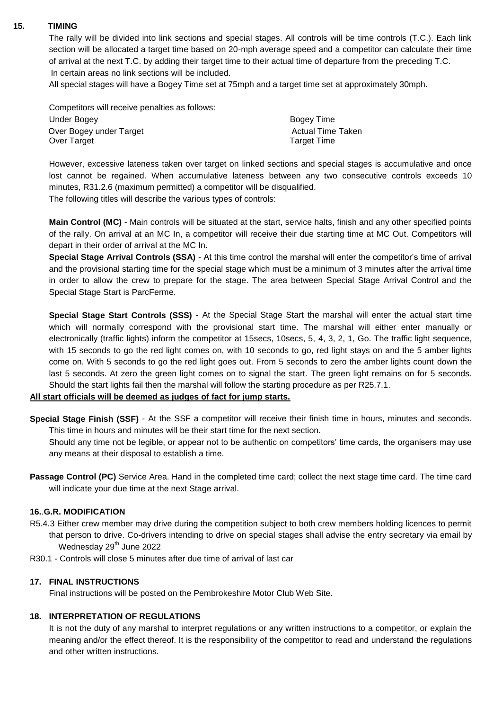#### **15. TIMING**

The rally will be divided into link sections and special stages. All controls will be time controls (T.C.). Each link section will be allocated a target time based on 20-mph average speed and a competitor can calculate their time of arrival at the next T.C. by adding their target time to their actual time of departure from the preceding T.C. In certain areas no link sections will be included.

All special stages will have a Bogey Time set at 75mph and a target time set at approximately 30mph.

Competitors will receive penalties as follows: Under Bogey **Bogey** Time Over Bogey under Target Actual Time Taken Over Target Time

However, excessive lateness taken over target on linked sections and special stages is accumulative and once lost cannot be regained. When accumulative lateness between any two consecutive controls exceeds 10 minutes, R31.2.6 (maximum permitted) a competitor will be disqualified.

The following titles will describe the various types of controls:

**Main Control (MC)** - Main controls will be situated at the start, service halts, finish and any other specified points of the rally. On arrival at an MC In, a competitor will receive their due starting time at MC Out. Competitors will depart in their order of arrival at the MC In.

**Special Stage Arrival Controls (SSA)** - At this time control the marshal will enter the competitor's time of arrival and the provisional starting time for the special stage which must be a minimum of 3 minutes after the arrival time in order to allow the crew to prepare for the stage. The area between Special Stage Arrival Control and the Special Stage Start is ParcFerme.

**Special Stage Start Controls (SSS)** - At the Special Stage Start the marshal will enter the actual start time which will normally correspond with the provisional start time. The marshal will either enter manually or electronically (traffic lights) inform the competitor at 15secs, 10secs, 5, 4, 3, 2, 1, Go. The traffic light sequence, with 15 seconds to go the red light comes on, with 10 seconds to go, red light stays on and the 5 amber lights come on. With 5 seconds to go the red light goes out. From 5 seconds to zero the amber lights count down the last 5 seconds. At zero the green light comes on to signal the start. The green light remains on for 5 seconds. Should the start lights fail then the marshal will follow the starting procedure as per R25.7.1.

#### **All start officials will be deemed as judges of fact for jump starts.**

**Special Stage Finish (SSF)** - At the SSF a competitor will receive their finish time in hours, minutes and seconds. This time in hours and minutes will be their start time for the next section.

Should any time not be legible, or appear not to be authentic on competitors' time cards, the organisers may use any means at their disposal to establish a time.

**Passage Control (PC)** Service Area. Hand in the completed time card; collect the next stage time card. The time card will indicate your due time at the next Stage arrival.

#### **16.**.**G.R. MODIFICATION**

- R5.4.3 Either crew member may drive during the competition subject to both crew members holding licences to permit that person to drive. Co-drivers intending to drive on special stages shall advise the entry secretary via email by Wednesday 29<sup>th</sup> June 2022
- R30.1 Controls will close 5 minutes after due time of arrival of last car

#### **17. FINAL INSTRUCTIONS**

Final instructions will be posted on the Pembrokeshire Motor Club Web Site.

#### **18. INTERPRETATION OF REGULATIONS**

It is not the duty of any marshal to interpret regulations or any written instructions to a competitor, or explain the meaning and/or the effect thereof. It is the responsibility of the competitor to read and understand the regulations and other written instructions.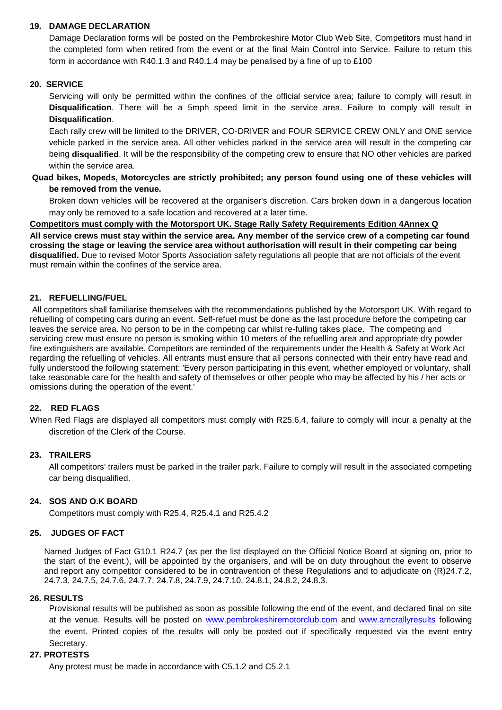#### **19. DAMAGE DECLARATION**

Damage Declaration forms will be posted on the Pembrokeshire Motor Club Web Site, Competitors must hand in the completed form when retired from the event or at the final Main Control into Service. Failure to return this form in accordance with R40.1.3 and R40.1.4 may be penalised by a fine of up to £100

#### **20. SERVICE**

Servicing will only be permitted within the confines of the official service area; failure to comply will result in **Disqualification**. There will be a 5mph speed limit in the service area. Failure to comply will result in **Disqualification**.

Each rally crew will be limited to the DRIVER, CO-DRIVER and FOUR SERVICE CREW ONLY and ONE service vehicle parked in the service area. All other vehicles parked in the service area will result in the competing car being **disqualified**. It will be the responsibility of the competing crew to ensure that NO other vehicles are parked within the service area.

#### **Quad bikes, Mopeds, Motorcycles are strictly prohibited; any person found using one of these vehicles will be removed from the venue.**

Broken down vehicles will be recovered at the organiser's discretion. Cars broken down in a dangerous location may only be removed to a safe location and recovered at a later time.

#### **Competitors must comply with the Motorsport UK. Stage Rally Safety Requirements Edition 4Annex Q All service crews must stay within the service area. Any member of the service crew of a competing car found crossing the stage or leaving the service area without authorisation will result in their competing car being disqualified.** Due to revised Motor Sports Association safety regulations all people that are not officials of the event must remain within the confines of the service area.

#### **21. REFUELLING/FUEL**

All competitors shall familiarise themselves with the recommendations published by the Motorsport UK. With regard to refuelling of competing cars during an event. Self-refuel must be done as the last procedure before the competing car leaves the service area. No person to be in the competing car whilst re-fulling takes place. The competing and servicing crew must ensure no person is smoking within 10 meters of the refuelling area and appropriate dry powder fire extinguishers are available. Competitors are reminded of the requirements under the Health & Safety at Work Act regarding the refuelling of vehicles. All entrants must ensure that all persons connected with their entry have read and fully understood the following statement: 'Every person participating in this event, whether employed or voluntary, shall take reasonable care for the health and safety of themselves or other people who may be affected by his / her acts or omissions during the operation of the event.'

#### **22. RED FLAGS**

When Red Flags are displayed all competitors must comply with R25.6.4, failure to comply will incur a penalty at the discretion of the Clerk of the Course.

#### **23. TRAILERS**

All competitors' trailers must be parked in the trailer park. Failure to comply will result in the associated competing car being disqualified.

#### **24. SOS AND O.K BOARD**

Competitors must comply with R25.4, R25.4.1 and R25.4.2

#### **25. JUDGES OF FACT**

Named Judges of Fact G10.1 R24.7 (as per the list displayed on the Official Notice Board at signing on, prior to the start of the event.), will be appointed by the organisers, and will be on duty throughout the event to observe and report any competitor considered to be in contravention of these Regulations and to adjudicate on (R)24.7.2, 24.7.3, 24.7.5, 24.7.6, 24.7.7, 24.7.8, 24.7.9, 24.7.10. 24.8.1, 24.8.2, 24.8.3.

#### **26. RESULTS**

Provisional results will be published as soon as possible following the end of the event, and declared final on site at the venue. Results will be posted on [www.pembrokeshiremotorclub.com](http://www.pembrokeshiremotorclub.com/) and [www.amcrallyresults](http://www.amcrallyresults/) following the event. Printed copies of the results will only be posted out if specifically requested via the event entry Secretary.

#### **27. PROTESTS**

Any protest must be made in accordance with C5.1.2 and C5.2.1